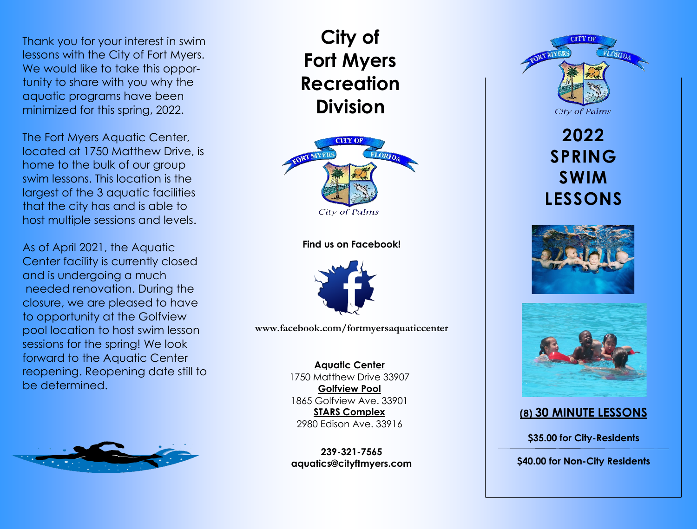Thank you for your interest in swim lessons with the City of Fort Myers. We would like to take this opportunity to share with you why the aquatic programs have been minimized for this spring, 2022.

The Fort Myers Aquatic Center, located at 1750 Matthew Drive, is home to the bulk of our group swim lessons. This location is the largest of the 3 aquatic facilities that the city has and is able to host multiple sessions and levels.

As of April 2021, the Aquatic Center facility is currently closed and is undergoing a much needed renovation. During the closure, we are pleased to have to opportunity at the Golfview pool location to host swim lesson sessions for the spring! We look forward to the Aquatic Center reopening. Reopening date still to be determined.



# **City of Fort Myers Recreation Division**



### **Find us on Facebook!**



**www.facebook.com/fortmyersaquaticcenter**

### **Aquatic Center**

1750 Matthew Drive 33907 **Golfview Pool**  1865 Golfview Ave. 33901 **STARS Complex**  2980 Edison Ave. 33916

**239-321-7565 aquatics@cityftmyers.com**









### **(8) 30 MINUTE LESSONS**

**\$35.00 for City-Residents**

**\$40.00 for Non-City Residents**